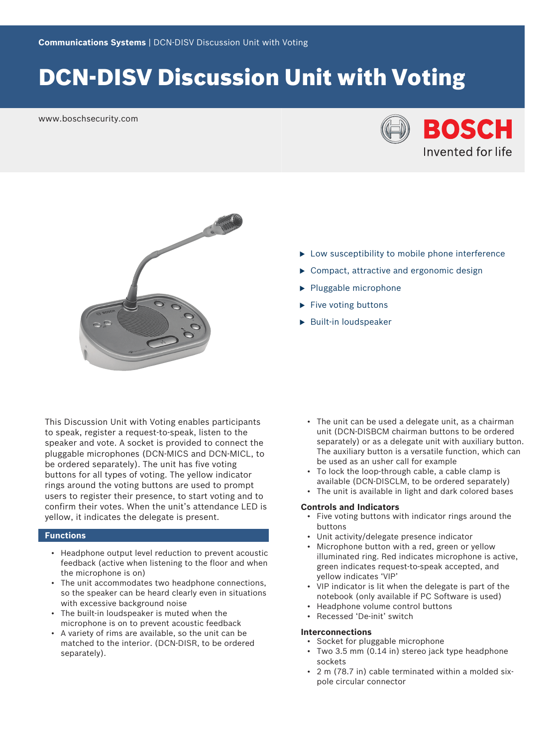# DCN‑DISV Discussion Unit with Voting

www.boschsecurity.com





- $\blacktriangleright$  Low susceptibility to mobile phone interference
- $\triangleright$  Compact, attractive and ergonomic design
- $\blacktriangleright$  Pluggable microphone
- $\blacktriangleright$  Five voting buttons
- $\blacktriangleright$  Built-in loudspeaker

This Discussion Unit with Voting enables participants to speak, register a request-to-speak, listen to the speaker and vote. A socket is provided to connect the pluggable microphones (DCN-MICS and DCN-MICL, to be ordered separately). The unit has five voting buttons for all types of voting. The yellow indicator rings around the voting buttons are used to prompt users to register their presence, to start voting and to confirm their votes. When the unit's attendance LED is yellow, it indicates the delegate is present.

# **Functions**

- Headphone output level reduction to prevent acoustic feedback (active when listening to the floor and when the microphone is on)
- The unit accommodates two headphone connections, so the speaker can be heard clearly even in situations with excessive background noise
- The built-in loudspeaker is muted when the microphone is on to prevent acoustic feedback
- A variety of rims are available, so the unit can be matched to the interior. (DCN-DISR, to be ordered separately).
- The unit can be used a delegate unit, as a chairman unit (DCN-DISBCM chairman buttons to be ordered separately) or as a delegate unit with auxiliary button. The auxiliary button is a versatile function, which can be used as an usher call for example
- To lock the loop-through cable, a cable clamp is available (DCN-DISCLM, to be ordered separately)
- The unit is available in light and dark colored bases

# **Controls and Indicators**

- Five voting buttons with indicator rings around the buttons
- Unit activity/delegate presence indicator
- Microphone button with a red, green or yellow illuminated ring. Red indicates microphone is active, green indicates request-to-speak accepted, and yellow indicates 'VIP'
- VIP indicator is lit when the delegate is part of the notebook (only available if PC Software is used)
- Headphone volume control buttons
- Recessed 'De-init' switch

# **Interconnections**

- Socket for pluggable microphone
- Two 3.5 mm (0.14 in) stereo jack type headphone sockets
- 2 m (78.7 in) cable terminated within a molded sixpole circular connector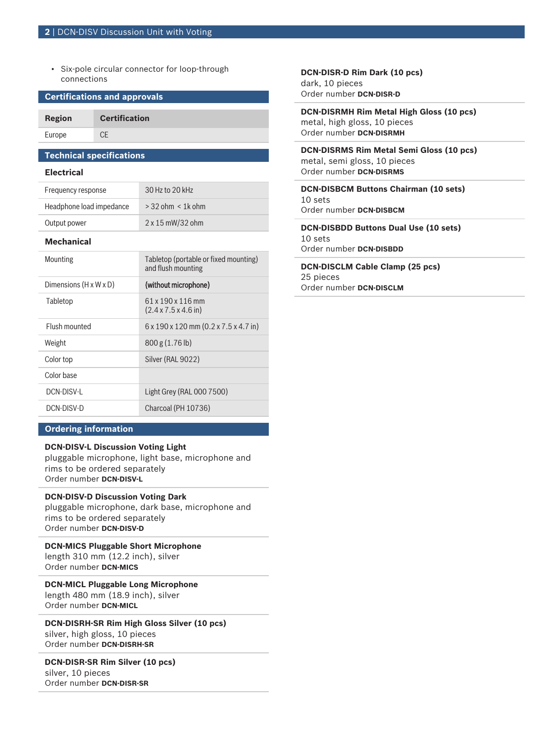• Six-pole circular connector for loop-through connections

# **Certifications and approvals**

**Region Certification** Europe CE

# **Technical specifications**

# **Electrical**

| Frequency response       | 30 Hz to 20 kHz         |
|--------------------------|-------------------------|
| Headphone load impedance | $>$ 32 ohm $<$ 1k ohm   |
| Output power             | $2 \times 15$ mW/32 ohm |

### **Mechanical**

| Tabletop (portable or fixed mounting)<br>and flush mounting   |
|---------------------------------------------------------------|
| (without microphone)                                          |
| 61 x 190 x 116 mm<br>$(2.4 \times 7.5 \times 4.6)$ in)        |
| $6 \times 190 \times 120$ mm $(0.2 \times 7.5 \times 4.7$ in) |
| 800 g (1.76 lb)                                               |
| Silver (RAL 9022)                                             |
|                                                               |
| Light Grey (RAL 000 7500)                                     |
| Charcoal (PH 10736)                                           |
|                                                               |

# **Ordering information**

# **DCN‑DISV‑L Discussion Voting Light**

pluggable microphone, light base, microphone and rims to be ordered separately Order number **DCN-DISV-L**

# **DCN‑DISV‑D Discussion Voting Dark**

pluggable microphone, dark base, microphone and rims to be ordered separately Order number **DCN-DISV-D**

**DCN‑MICS Pluggable Short Microphone** length 310 mm (12.2 inch), silver Order number **DCN-MICS**

**DCN‑MICL Pluggable Long Microphone** length 480 mm (18.9 inch), silver

Order number **DCN-MICL**

**DCN‑DISRH‑SR Rim High Gloss Silver (10 pcs)** silver, high gloss, 10 pieces Order number **DCN-DISRH-SR**

**DCN‑DISR‑SR Rim Silver (10 pcs)**

silver, 10 pieces Order number **DCN-DISR-SR** **DCN‑DISR‑D Rim Dark (10 pcs)** dark, 10 pieces Order number **DCN-DISR-D**

**DCN‑DISRMH Rim Metal High Gloss (10 pcs)** metal, high gloss, 10 pieces Order number **DCN-DISRMH**

**DCN‑DISRMS Rim Metal Semi Gloss (10 pcs)** metal, semi gloss, 10 pieces Order number **DCN-DISRMS**

**DCN‑DISBCM Buttons Chairman (10 sets)**  $10$  sets Order number **DCN-DISBCM**

**DCN‑DISBDD Buttons Dual Use (10 sets)** 10 sets Order number **DCN-DISBDD**

**DCN‑DISCLM Cable Clamp (25 pcs)** 25 pieces Order number **DCN-DISCLM**